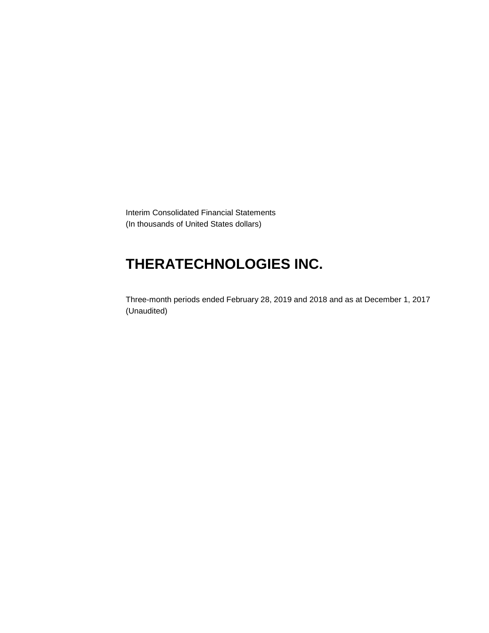Interim Consolidated Financial Statements (In thousands of United States dollars)

# **THERATECHNOLOGIES INC.**

Three-month periods ended February 28, 2019 and 2018 and as at December 1, 2017 (Unaudited)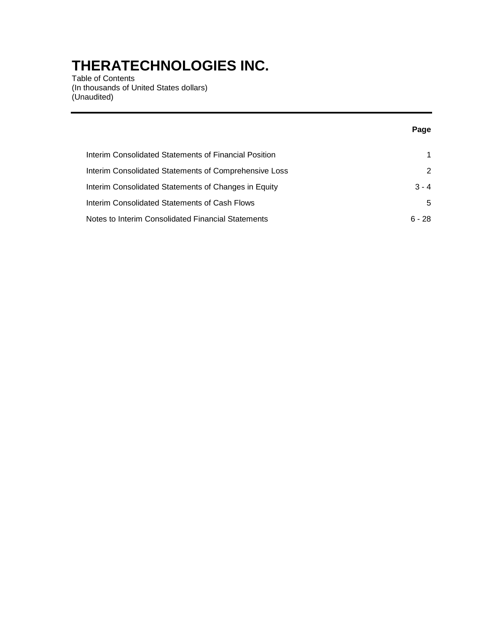Table of Contents (In thousands of United States dollars) (Unaudited)

|                                                       | Page     |
|-------------------------------------------------------|----------|
| Interim Consolidated Statements of Financial Position | 1.       |
| Interim Consolidated Statements of Comprehensive Loss | 2        |
| Interim Consolidated Statements of Changes in Equity  | $3 - 4$  |
| Interim Consolidated Statements of Cash Flows         | 5        |
| Notes to Interim Consolidated Financial Statements    | $6 - 28$ |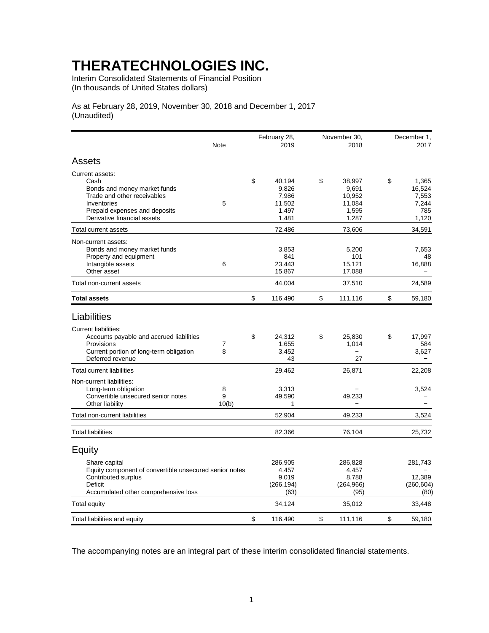Interim Consolidated Statements of Financial Position (In thousands of United States dollars)

As at February 28, 2019, November 30, 2018 and December 1, 2017 (Unaudited)

|                                                        |       | February 28, |                     | November 30,          | December 1, |                      |
|--------------------------------------------------------|-------|--------------|---------------------|-----------------------|-------------|----------------------|
|                                                        | Note  |              | 2019                | 2018                  |             | 2017                 |
| Assets                                                 |       |              |                     |                       |             |                      |
| Current assets:                                        |       |              |                     |                       |             |                      |
| Cash                                                   |       | \$           | 40,194              | \$<br>38,997          | \$          | 1,365                |
| Bonds and money market funds                           |       |              | 9,826               | 9,691                 |             | 16.524               |
| Trade and other receivables                            |       |              | 7,986               | 10,952                |             | 7,553                |
| Inventories<br>Prepaid expenses and deposits           | 5     |              | 11,502<br>1,497     | 11,084<br>1,595       |             | 7,244<br>785         |
| Derivative financial assets                            |       |              | 1,481               | 1,287                 |             | 1,120                |
| Total current assets                                   |       |              | 72,486              | 73,606                |             | 34,591               |
| Non-current assets:                                    |       |              |                     |                       |             |                      |
| Bonds and money market funds                           |       |              | 3,853               | 5,200                 |             | 7,653                |
| Property and equipment                                 |       |              | 841                 | 101                   |             | 48                   |
| Intangible assets                                      | 6     |              | 23,443              | 15,121                |             | 16,888               |
| Other asset                                            |       |              | 15,867              | 17,088                |             |                      |
| Total non-current assets                               |       |              | 44,004              | 37,510                |             | 24,589               |
| <b>Total assets</b>                                    |       | \$           | 116,490             | \$<br>111,116         | \$          | 59,180               |
| Liabilities                                            |       |              |                     |                       |             |                      |
|                                                        |       |              |                     |                       |             |                      |
| <b>Current liabilities:</b>                            |       |              |                     |                       |             |                      |
| Accounts payable and accrued liabilities<br>Provisions | 7     | \$           | 24,312<br>1,655     | \$<br>25,830<br>1,014 | \$          | 17,997<br>584        |
| Current portion of long-term obligation                | 8     |              | 3,452               |                       |             | 3,627                |
| Deferred revenue                                       |       |              | 43                  | 27                    |             |                      |
| <b>Total current liabilities</b>                       |       |              | 29,462              | 26,871                |             | 22,208               |
| Non-current liabilities:                               |       |              |                     |                       |             |                      |
| Long-term obligation                                   | 8     |              | 3,313               |                       |             | 3,524                |
| Convertible unsecured senior notes                     | 9     |              | 49,590              | 49,233                |             |                      |
| Other liability                                        | 10(b) |              | 1                   |                       |             |                      |
| Total non-current liabilities                          |       |              | 52,904              | 49,233                |             | 3,524                |
| <b>Total liabilities</b>                               |       |              | 82,366              | 76,104                |             | 25,732               |
| Equity                                                 |       |              |                     |                       |             |                      |
|                                                        |       |              |                     |                       |             |                      |
| Share capital                                          |       |              | 286,905             | 286,828               |             | 281,743              |
| Equity component of convertible unsecured senior notes |       |              | 4.457               | 4,457                 |             |                      |
| Contributed surplus<br><b>Deficit</b>                  |       |              | 9,019<br>(266, 194) | 8,788<br>(264, 966)   |             | 12,389<br>(260, 604) |
| Accumulated other comprehensive loss                   |       |              | (63)                | (95)                  |             | (80)                 |
| Total equity                                           |       |              | 34,124              | 35,012                |             | 33,448               |
| Total liabilities and equity                           |       | \$           | 116,490             | \$<br>111,116         | \$          | 59,180               |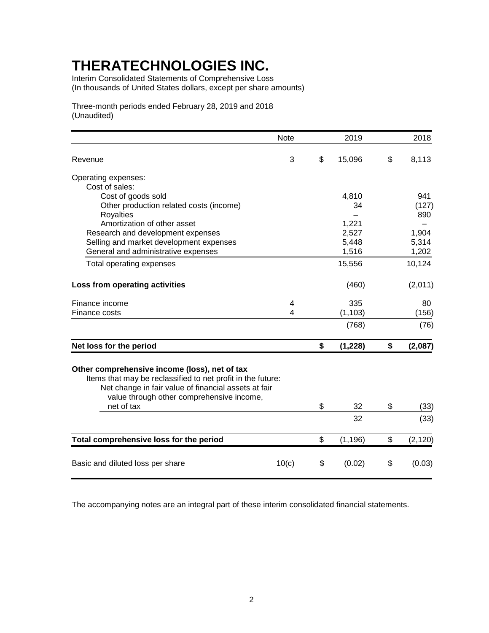Interim Consolidated Statements of Comprehensive Loss (In thousands of United States dollars, except per share amounts)

Three-month periods ended February 28, 2019 and 2018 (Unaudited)

|                                                                                                                                                                                                                                 | <b>Note</b> | 2019           | 2018           |
|---------------------------------------------------------------------------------------------------------------------------------------------------------------------------------------------------------------------------------|-------------|----------------|----------------|
| Revenue                                                                                                                                                                                                                         | 3           | \$<br>15,096   | \$<br>8,113    |
| Operating expenses:                                                                                                                                                                                                             |             |                |                |
| Cost of sales:                                                                                                                                                                                                                  |             |                |                |
| Cost of goods sold                                                                                                                                                                                                              |             | 4,810          | 941            |
| Other production related costs (income)                                                                                                                                                                                         |             | 34             | (127)          |
| <b>Royalties</b>                                                                                                                                                                                                                |             |                | 890            |
| Amortization of other asset                                                                                                                                                                                                     |             | 1,221          |                |
| Research and development expenses                                                                                                                                                                                               |             | 2,527          | 1,904          |
| Selling and market development expenses                                                                                                                                                                                         |             | 5,448          | 5,314          |
| General and administrative expenses                                                                                                                                                                                             |             | 1,516          | 1,202          |
| Total operating expenses                                                                                                                                                                                                        |             | 15,556         | 10,124         |
| Loss from operating activities                                                                                                                                                                                                  |             | (460)          | (2,011)        |
| Finance income                                                                                                                                                                                                                  | 4           | 335            | 80             |
| Finance costs                                                                                                                                                                                                                   | 4           | (1, 103)       | (156)          |
|                                                                                                                                                                                                                                 |             | (768)          | (76)           |
| Net loss for the period                                                                                                                                                                                                         |             | \$<br>(1,228)  | \$<br>(2,087)  |
| Other comprehensive income (loss), net of tax<br>Items that may be reclassified to net profit in the future:<br>Net change in fair value of financial assets at fair<br>value through other comprehensive income,<br>net of tax |             | \$<br>32       | \$<br>(33)     |
|                                                                                                                                                                                                                                 |             | 32             | (33)           |
| Total comprehensive loss for the period                                                                                                                                                                                         |             | \$<br>(1, 196) | \$<br>(2, 120) |
| Basic and diluted loss per share                                                                                                                                                                                                | 10(c)       | \$<br>(0.02)   | \$<br>(0.03)   |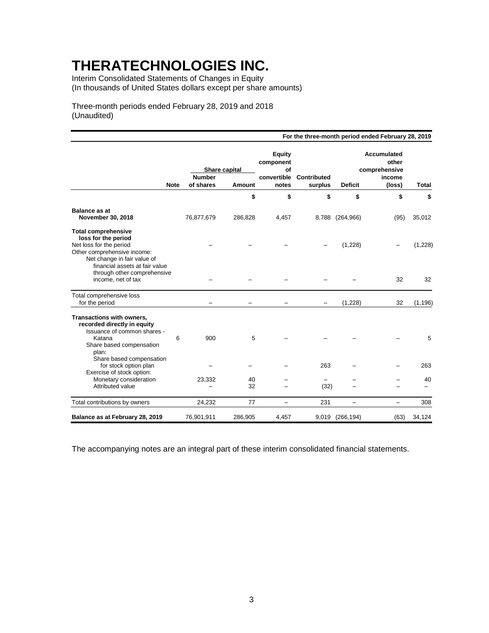Interim Consolidated Statements of Changes in Equity (In thousands of United States dollars except per share amounts)

Three-month periods ended February 28, 2019 and 2018 (Unaudited)

|                                                                                                                                            |   |                                |          |                                                 |             |                 | For the three-month period ended February 28, 2019 |                                |
|--------------------------------------------------------------------------------------------------------------------------------------------|---|--------------------------------|----------|-------------------------------------------------|-------------|-----------------|----------------------------------------------------|--------------------------------|
|                                                                                                                                            |   | Share capital<br><b>Number</b> |          | <b>Equity</b><br>component<br>of<br>convertible | Contributed |                 | Accumulated<br>other<br>comprehensive<br>income    |                                |
| <b>Note</b>                                                                                                                                |   | of shares                      | Amount   | notes                                           | surplus     | <b>Deficit</b>  | (loss)                                             | <b>Total</b>                   |
|                                                                                                                                            |   |                                | \$       | \$                                              | \$          | \$              | \$                                                 | \$                             |
| <b>Balance as at</b>                                                                                                                       |   |                                |          |                                                 |             |                 |                                                    |                                |
| November 30, 2018                                                                                                                          |   | 76,877,679                     | 286,828  | 4,457                                           |             | 8,788 (264,966) | (95)                                               | 35,012                         |
| <b>Total comprehensive</b><br>loss for the period<br>Net loss for the period<br>Other comprehensive income:<br>Net change in fair value of |   |                                |          |                                                 |             | (1,228)         |                                                    | (1,228)                        |
| financial assets at fair value<br>through other comprehensive<br>income, net of tax                                                        |   |                                |          |                                                 |             |                 | 32                                                 | 32                             |
| Total comprehensive loss<br>for the period                                                                                                 |   |                                |          |                                                 |             | (1,228)         | 32                                                 | (1, 196)                       |
| Transactions with owners,<br>recorded directly in equity<br>Issuance of common shares -<br>Katana<br>Share based compensation<br>plan:     | 6 | 900                            | 5        |                                                 |             |                 |                                                    | 5                              |
| Share based compensation<br>for stock option plan<br>Exercise of stock option:                                                             |   |                                |          |                                                 | 263         |                 |                                                    | 263                            |
| Monetary consideration<br>Attributed value                                                                                                 |   | 23,332                         | 40<br>32 |                                                 | (32)        |                 |                                                    | 40<br>$\overline{\phantom{0}}$ |
| Total contributions by owners                                                                                                              |   | 24,232                         | 77       | -                                               | 231         | ÷,              | $\overline{\phantom{0}}$                           | 308                            |
| Balance as at February 28, 2019                                                                                                            |   | 76,901,911                     | 286,905  | 4,457                                           | 9,019       | (266, 194)      | (63)                                               | 34,124                         |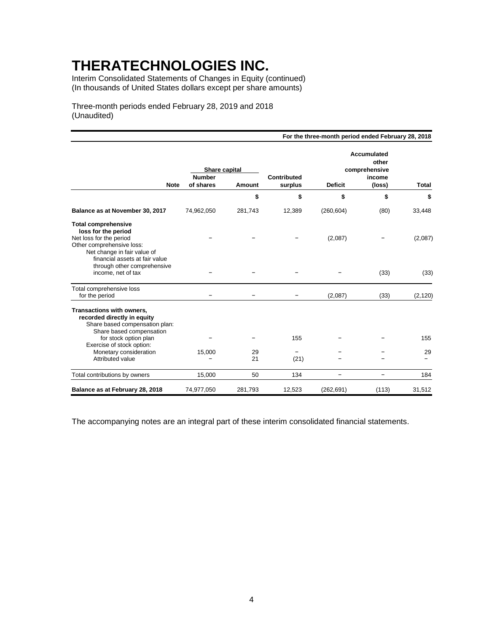Interim Consolidated Statements of Changes in Equity (continued) (In thousands of United States dollars except per share amounts)

Three-month periods ended February 28, 2019 and 2018 (Unaudited)

|                                                                                                                                                                                                                            |                                |          |                    | For the three-month period ended February 28, 2018 |                                                        |              |
|----------------------------------------------------------------------------------------------------------------------------------------------------------------------------------------------------------------------------|--------------------------------|----------|--------------------|----------------------------------------------------|--------------------------------------------------------|--------------|
|                                                                                                                                                                                                                            | Share capital<br><b>Number</b> |          | <b>Contributed</b> |                                                    | <b>Accumulated</b><br>other<br>comprehensive<br>income |              |
| <b>Note</b>                                                                                                                                                                                                                | of shares                      | Amount   | surplus            | <b>Deficit</b>                                     | (loss)                                                 | <b>Total</b> |
|                                                                                                                                                                                                                            |                                | \$       | \$                 | \$                                                 | \$                                                     | \$           |
| Balance as at November 30, 2017                                                                                                                                                                                            | 74,962,050                     | 281,743  | 12,389             | (260, 604)                                         | (80)                                                   | 33,448       |
| <b>Total comprehensive</b><br>loss for the period<br>Net loss for the period<br>Other comprehensive loss:<br>Net change in fair value of                                                                                   |                                |          |                    | (2,087)                                            |                                                        | (2,087)      |
| financial assets at fair value<br>through other comprehensive<br>income, net of tax                                                                                                                                        |                                |          |                    |                                                    | (33)                                                   | (33)         |
| Total comprehensive loss<br>for the period                                                                                                                                                                                 |                                |          |                    | (2,087)                                            | (33)                                                   | (2, 120)     |
| Transactions with owners,<br>recorded directly in equity<br>Share based compensation plan:<br>Share based compensation<br>for stock option plan<br>Exercise of stock option:<br>Monetary consideration<br>Attributed value | 15,000                         | 29<br>21 | 155<br>-<br>(21)   |                                                    |                                                        | 155<br>29    |
| Total contributions by owners                                                                                                                                                                                              | 15,000                         | 50       | 134                | ÷,                                                 | -                                                      | 184          |
| Balance as at February 28, 2018                                                                                                                                                                                            | 74,977,050                     | 281,793  | 12,523             | (262, 691)                                         | (113)                                                  | 31,512       |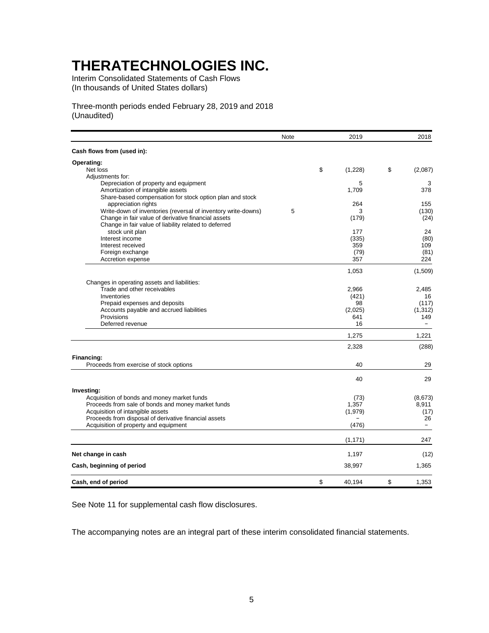Interim Consolidated Statements of Cash Flows (In thousands of United States dollars)

Three-month periods ended February 28, 2019 and 2018 (Unaudited)

|                                                               | Note | 2019          | 2018              |
|---------------------------------------------------------------|------|---------------|-------------------|
| Cash flows from (used in):                                    |      |               |                   |
| Operating:                                                    |      |               |                   |
| Net loss                                                      |      | \$<br>(1,228) | \$<br>(2,087)     |
| Adjustments for:                                              |      |               |                   |
| Depreciation of property and equipment                        |      | 5             | 3                 |
| Amortization of intangible assets                             |      | 1,709         | 378               |
| Share-based compensation for stock option plan and stock      |      |               |                   |
| appreciation rights                                           |      | 264           | 155               |
| Write-down of inventories (reversal of inventory write-downs) | 5    | 3             | (130)             |
| Change in fair value of derivative financial assets           |      | (179)         | (24)              |
| Change in fair value of liability related to deferred         |      |               |                   |
| stock unit plan                                               |      | 177           | 24                |
| Interest income                                               |      | (335)         | (80)              |
| Interest received                                             |      | 359           | 109               |
| Foreign exchange                                              |      | (79)          | (81)              |
| Accretion expense                                             |      | 357           | 224               |
|                                                               |      | 1,053         | (1,509)           |
| Changes in operating assets and liabilities:                  |      |               |                   |
| Trade and other receivables                                   |      | 2,966         | 2,485             |
| Inventories                                                   |      | (421)         | 16                |
| Prepaid expenses and deposits                                 |      | 98            | (117)             |
| Accounts payable and accrued liabilities                      |      | (2,025)       | (1, 312)          |
| Provisions                                                    |      | 641           | 149               |
| Deferred revenue                                              |      | 16            | $\overline{a}$    |
|                                                               |      | 1,275         | 1,221             |
|                                                               |      |               |                   |
|                                                               |      | 2,328         | (288)             |
| Financing:                                                    |      |               |                   |
| Proceeds from exercise of stock options                       |      | 40            | 29                |
|                                                               |      | 40            | 29                |
| Investing:                                                    |      |               |                   |
| Acquisition of bonds and money market funds                   |      | (73)          | (8,673)           |
| Proceeds from sale of bonds and money market funds            |      | 1,357         | 8,911             |
| Acquisition of intangible assets                              |      | (1,979)       | (17)              |
| Proceeds from disposal of derivative financial assets         |      |               | 26                |
| Acquisition of property and equipment                         |      | (476)         | $\qquad \qquad -$ |
|                                                               |      | (1, 171)      | 247               |
| Net change in cash                                            |      | 1,197         | (12)              |
| Cash, beginning of period                                     |      | 38,997        | 1,365             |
|                                                               |      |               |                   |
| Cash, end of period                                           |      | \$<br>40,194  | \$<br>1,353       |

See Note 11 for supplemental cash flow disclosures.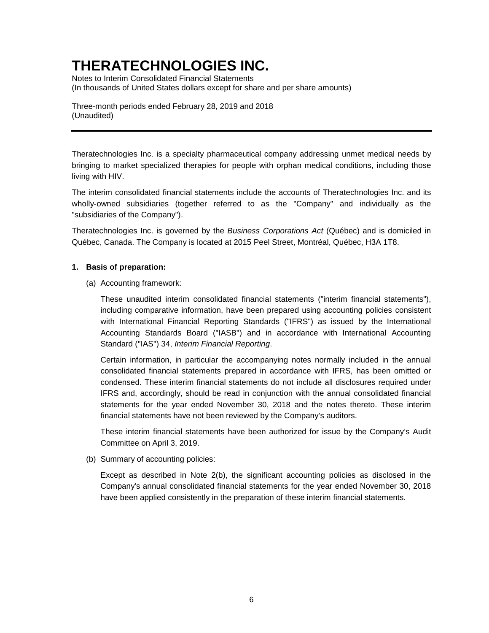Notes to Interim Consolidated Financial Statements (In thousands of United States dollars except for share and per share amounts)

Three-month periods ended February 28, 2019 and 2018 (Unaudited)

Theratechnologies Inc. is a specialty pharmaceutical company addressing unmet medical needs by bringing to market specialized therapies for people with orphan medical conditions, including those living with HIV.

The interim consolidated financial statements include the accounts of Theratechnologies Inc. and its wholly-owned subsidiaries (together referred to as the "Company" and individually as the "subsidiaries of the Company").

Theratechnologies Inc. is governed by the *Business Corporations Act* (Québec) and is domiciled in Québec, Canada. The Company is located at 2015 Peel Street, Montréal, Québec, H3A 1T8.

### **1. Basis of preparation:**

(a) Accounting framework:

These unaudited interim consolidated financial statements ("interim financial statements"), including comparative information, have been prepared using accounting policies consistent with International Financial Reporting Standards ("IFRS") as issued by the International Accounting Standards Board ("IASB") and in accordance with International Accounting Standard ("IAS") 34, *Interim Financial Reporting*.

Certain information, in particular the accompanying notes normally included in the annual consolidated financial statements prepared in accordance with IFRS, has been omitted or condensed. These interim financial statements do not include all disclosures required under IFRS and, accordingly, should be read in conjunction with the annual consolidated financial statements for the year ended November 30, 2018 and the notes thereto. These interim financial statements have not been reviewed by the Company's auditors.

These interim financial statements have been authorized for issue by the Company's Audit Committee on April 3, 2019.

(b) Summary of accounting policies:

Except as described in Note 2(b), the significant accounting policies as disclosed in the Company's annual consolidated financial statements for the year ended November 30, 2018 have been applied consistently in the preparation of these interim financial statements.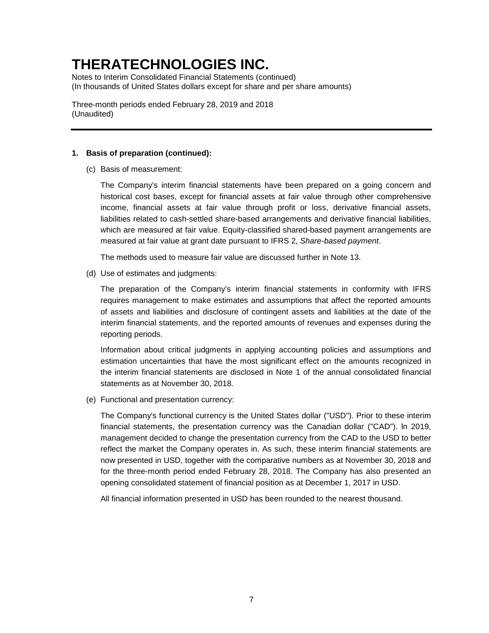Notes to Interim Consolidated Financial Statements (continued) (In thousands of United States dollars except for share and per share amounts)

Three-month periods ended February 28, 2019 and 2018 (Unaudited)

#### **1. Basis of preparation (continued):**

(c) Basis of measurement:

The Company's interim financial statements have been prepared on a going concern and historical cost bases, except for financial assets at fair value through other comprehensive income, financial assets at fair value through profit or loss, derivative financial assets, liabilities related to cash-settled share-based arrangements and derivative financial liabilities, which are measured at fair value. Equity-classified shared-based payment arrangements are measured at fair value at grant date pursuant to IFRS 2, *Share-based payment*.

The methods used to measure fair value are discussed further in Note 13.

(d) Use of estimates and judgments:

The preparation of the Company's interim financial statements in conformity with IFRS requires management to make estimates and assumptions that affect the reported amounts of assets and liabilities and disclosure of contingent assets and liabilities at the date of the interim financial statements, and the reported amounts of revenues and expenses during the reporting periods.

Information about critical judgments in applying accounting policies and assumptions and estimation uncertainties that have the most significant effect on the amounts recognized in the interim financial statements are disclosed in Note 1 of the annual consolidated financial statements as at November 30, 2018.

(e) Functional and presentation currency:

The Company's functional currency is the United States dollar ("USD"). Prior to these interim financial statements, the presentation currency was the Canadian dollar ("CAD"). ln 2019, management decided to change the presentation currency from the CAD to the USD to better reflect the market the Company operates in. As such, these interim financial statements are now presented in USD, together with the comparative numbers as at November 30, 2018 and for the three-month period ended February 28, 2018. The Company has also presented an opening consolidated statement of financial position as at December 1, 2017 in USD.

All financial information presented in USD has been rounded to the nearest thousand.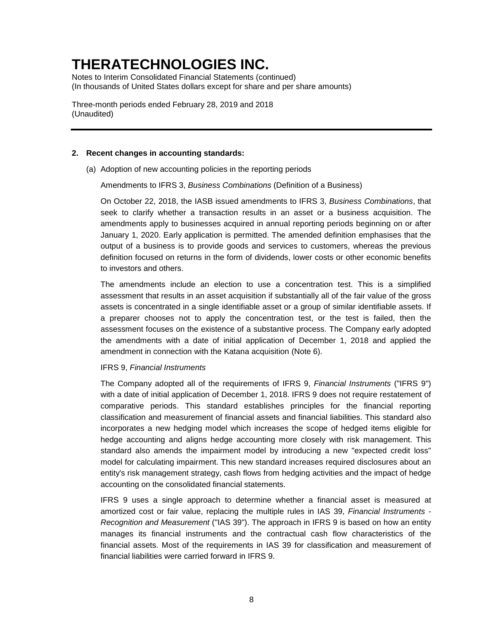Notes to Interim Consolidated Financial Statements (continued) (In thousands of United States dollars except for share and per share amounts)

Three-month periods ended February 28, 2019 and 2018 (Unaudited)

#### **2. Recent changes in accounting standards:**

(a) Adoption of new accounting policies in the reporting periods

Amendments to IFRS 3, *Business Combinations* (Definition of a Business)

On October 22, 2018, the IASB issued amendments to IFRS 3, *Business Combinations*, that seek to clarify whether a transaction results in an asset or a business acquisition. The amendments apply to businesses acquired in annual reporting periods beginning on or after January 1, 2020. Early application is permitted. The amended definition emphasises that the output of a business is to provide goods and services to customers, whereas the previous definition focused on returns in the form of dividends, lower costs or other economic benefits to investors and others.

The amendments include an election to use a concentration test. This is a simplified assessment that results in an asset acquisition if substantially all of the fair value of the gross assets is concentrated in a single identifiable asset or a group of similar identifiable assets. If a preparer chooses not to apply the concentration test, or the test is failed, then the assessment focuses on the existence of a substantive process. The Company early adopted the amendments with a date of initial application of December 1, 2018 and applied the amendment in connection with the Katana acquisition (Note 6).

#### IFRS 9, *Financial Instruments*

The Company adopted all of the requirements of IFRS 9, *Financial Instruments* ("IFRS 9") with a date of initial application of December 1, 2018. IFRS 9 does not require restatement of comparative periods. This standard establishes principles for the financial reporting classification and measurement of financial assets and financial liabilities. This standard also incorporates a new hedging model which increases the scope of hedged items eligible for hedge accounting and aligns hedge accounting more closely with risk management. This standard also amends the impairment model by introducing a new "expected credit loss" model for calculating impairment. This new standard increases required disclosures about an entity's risk management strategy, cash flows from hedging activities and the impact of hedge accounting on the consolidated financial statements.

IFRS 9 uses a single approach to determine whether a financial asset is measured at amortized cost or fair value, replacing the multiple rules in IAS 39, *Financial Instruments - Recognition and Measurement* ("IAS 39"). The approach in IFRS 9 is based on how an entity manages its financial instruments and the contractual cash flow characteristics of the financial assets. Most of the requirements in IAS 39 for classification and measurement of financial liabilities were carried forward in IFRS 9.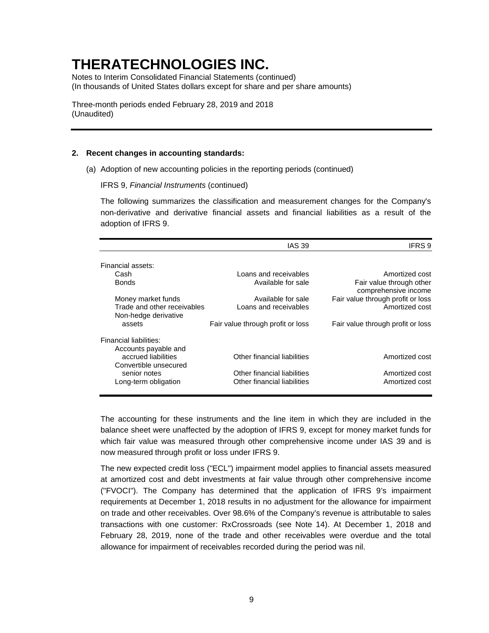Notes to Interim Consolidated Financial Statements (continued) (In thousands of United States dollars except for share and per share amounts)

Three-month periods ended February 28, 2019 and 2018 (Unaudited)

### **2. Recent changes in accounting standards:**

(a) Adoption of new accounting policies in the reporting periods (continued)

IFRS 9, *Financial Instruments* (continued)

The following summarizes the classification and measurement changes for the Company's non-derivative and derivative financial assets and financial liabilities as a result of the adoption of IFRS 9.

|                                                               | <b>IAS 39</b>                                              | IFRS 9                                           |
|---------------------------------------------------------------|------------------------------------------------------------|--------------------------------------------------|
| Financial assets:                                             |                                                            |                                                  |
| Cash                                                          | Loans and receivables                                      | Amortized cost                                   |
| <b>Bonds</b>                                                  | Available for sale                                         | Fair value through other<br>comprehensive income |
| Money market funds                                            | Available for sale                                         | Fair value through profit or loss                |
| Trade and other receivables<br>Non-hedge derivative           | Loans and receivables                                      | Amortized cost                                   |
| assets                                                        | Fair value through profit or loss                          | Fair value through profit or loss                |
| Financial liabilities:<br>Accounts payable and                |                                                            |                                                  |
| accrued liabilities                                           | Other financial liabilities                                | Amortized cost                                   |
| Convertible unsecured<br>senior notes<br>Long-term obligation | Other financial liabilities<br>Other financial liabilities | Amortized cost<br>Amortized cost                 |
|                                                               |                                                            |                                                  |

The accounting for these instruments and the line item in which they are included in the balance sheet were unaffected by the adoption of IFRS 9, except for money market funds for which fair value was measured through other comprehensive income under IAS 39 and is now measured through profit or loss under IFRS 9.

The new expected credit loss ("ECL") impairment model applies to financial assets measured at amortized cost and debt investments at fair value through other comprehensive income ("FVOCI"). The Company has determined that the application of IFRS 9's impairment requirements at December 1, 2018 results in no adjustment for the allowance for impairment on trade and other receivables. Over 98.6% of the Company's revenue is attributable to sales transactions with one customer: RxCrossroads (see Note 14). At December 1, 2018 and February 28, 2019, none of the trade and other receivables were overdue and the total allowance for impairment of receivables recorded during the period was nil.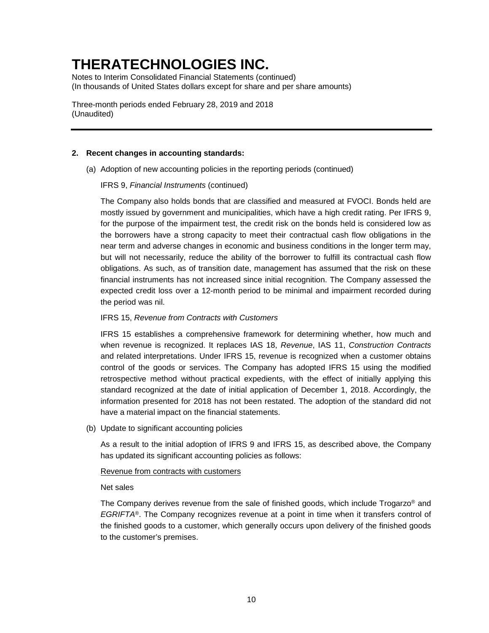Notes to Interim Consolidated Financial Statements (continued) (In thousands of United States dollars except for share and per share amounts)

Three-month periods ended February 28, 2019 and 2018 (Unaudited)

### **2. Recent changes in accounting standards:**

(a) Adoption of new accounting policies in the reporting periods (continued)

IFRS 9, *Financial Instruments* (continued)

The Company also holds bonds that are classified and measured at FVOCI. Bonds held are mostly issued by government and municipalities, which have a high credit rating. Per IFRS 9, for the purpose of the impairment test, the credit risk on the bonds held is considered low as the borrowers have a strong capacity to meet their contractual cash flow obligations in the near term and adverse changes in economic and business conditions in the longer term may, but will not necessarily, reduce the ability of the borrower to fulfill its contractual cash flow obligations. As such, as of transition date, management has assumed that the risk on these financial instruments has not increased since initial recognition. The Company assessed the expected credit loss over a 12-month period to be minimal and impairment recorded during the period was nil.

### IFRS 15, *Revenue from Contracts with Customers*

IFRS 15 establishes a comprehensive framework for determining whether, how much and when revenue is recognized. It replaces IAS 18, *Revenue*, IAS 11, *Construction Contracts* and related interpretations. Under IFRS 15, revenue is recognized when a customer obtains control of the goods or services. The Company has adopted IFRS 15 using the modified retrospective method without practical expedients, with the effect of initially applying this standard recognized at the date of initial application of December 1, 2018. Accordingly, the information presented for 2018 has not been restated. The adoption of the standard did not have a material impact on the financial statements.

(b) Update to significant accounting policies

As a result to the initial adoption of IFRS 9 and IFRS 15, as described above, the Company has updated its significant accounting policies as follows:

Revenue from contracts with customers

Net sales

The Company derives revenue from the sale of finished goods, which include Trogarzo® and *EGRIFTA*®. The Company recognizes revenue at a point in time when it transfers control of the finished goods to a customer, which generally occurs upon delivery of the finished goods to the customer's premises.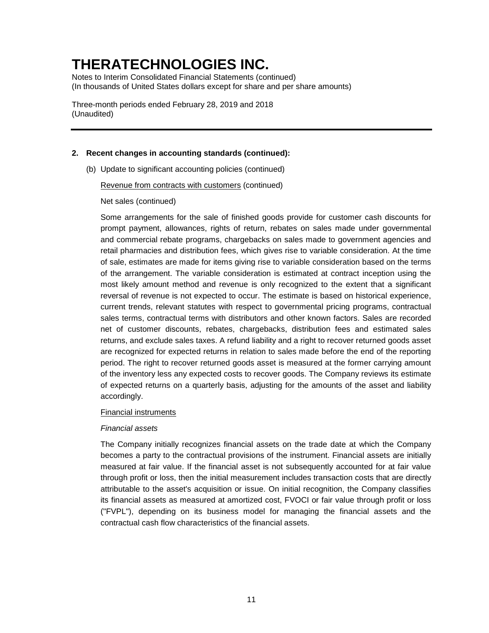Notes to Interim Consolidated Financial Statements (continued) (In thousands of United States dollars except for share and per share amounts)

Three-month periods ended February 28, 2019 and 2018 (Unaudited)

### **2. Recent changes in accounting standards (continued):**

(b) Update to significant accounting policies (continued)

Revenue from contracts with customers (continued)

Net sales (continued)

Some arrangements for the sale of finished goods provide for customer cash discounts for prompt payment, allowances, rights of return, rebates on sales made under governmental and commercial rebate programs, chargebacks on sales made to government agencies and retail pharmacies and distribution fees, which gives rise to variable consideration. At the time of sale, estimates are made for items giving rise to variable consideration based on the terms of the arrangement. The variable consideration is estimated at contract inception using the most likely amount method and revenue is only recognized to the extent that a significant reversal of revenue is not expected to occur. The estimate is based on historical experience, current trends, relevant statutes with respect to governmental pricing programs, contractual sales terms, contractual terms with distributors and other known factors. Sales are recorded net of customer discounts, rebates, chargebacks, distribution fees and estimated sales returns, and exclude sales taxes. A refund liability and a right to recover returned goods asset are recognized for expected returns in relation to sales made before the end of the reporting period. The right to recover returned goods asset is measured at the former carrying amount of the inventory less any expected costs to recover goods. The Company reviews its estimate of expected returns on a quarterly basis, adjusting for the amounts of the asset and liability accordingly.

### Financial instruments

#### *Financial assets*

The Company initially recognizes financial assets on the trade date at which the Company becomes a party to the contractual provisions of the instrument. Financial assets are initially measured at fair value. If the financial asset is not subsequently accounted for at fair value through profit or loss, then the initial measurement includes transaction costs that are directly attributable to the asset's acquisition or issue. On initial recognition, the Company classifies its financial assets as measured at amortized cost, FVOCI or fair value through profit or loss ("FVPL"), depending on its business model for managing the financial assets and the contractual cash flow characteristics of the financial assets.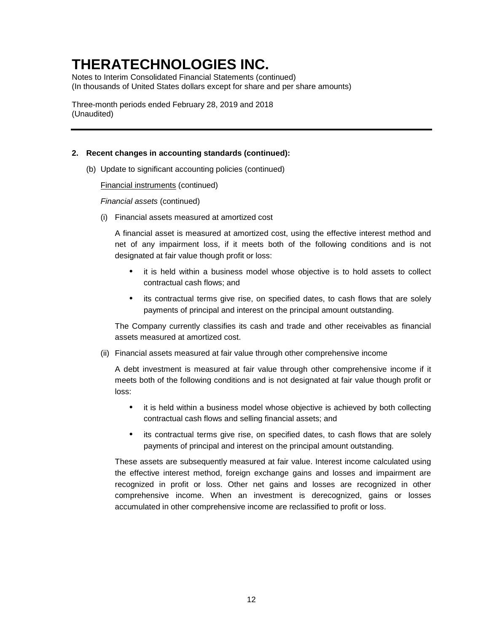Notes to Interim Consolidated Financial Statements (continued) (In thousands of United States dollars except for share and per share amounts)

Three-month periods ended February 28, 2019 and 2018 (Unaudited)

### **2. Recent changes in accounting standards (continued):**

(b) Update to significant accounting policies (continued)

Financial instruments (continued)

*Financial assets* (continued)

(i) Financial assets measured at amortized cost

A financial asset is measured at amortized cost, using the effective interest method and net of any impairment loss, if it meets both of the following conditions and is not designated at fair value though profit or loss:

- it is held within a business model whose objective is to hold assets to collect contractual cash flows; and
- its contractual terms give rise, on specified dates, to cash flows that are solely payments of principal and interest on the principal amount outstanding.

The Company currently classifies its cash and trade and other receivables as financial assets measured at amortized cost.

(ii) Financial assets measured at fair value through other comprehensive income

A debt investment is measured at fair value through other comprehensive income if it meets both of the following conditions and is not designated at fair value though profit or loss:

- it is held within a business model whose objective is achieved by both collecting contractual cash flows and selling financial assets; and
- its contractual terms give rise, on specified dates, to cash flows that are solely payments of principal and interest on the principal amount outstanding.

These assets are subsequently measured at fair value. Interest income calculated using the effective interest method, foreign exchange gains and losses and impairment are recognized in profit or loss. Other net gains and losses are recognized in other comprehensive income. When an investment is derecognized, gains or losses accumulated in other comprehensive income are reclassified to profit or loss.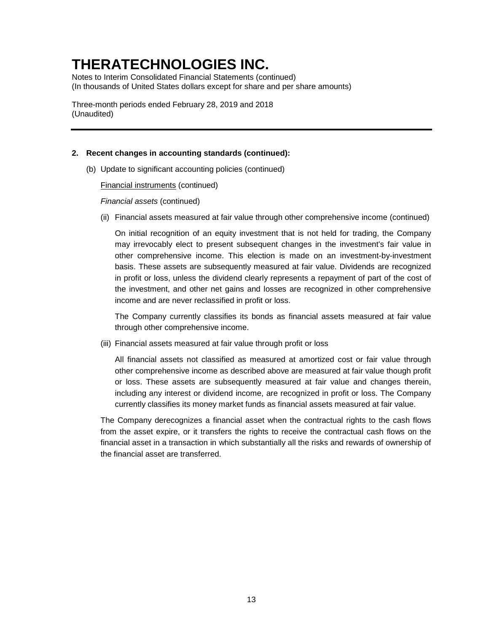Notes to Interim Consolidated Financial Statements (continued) (In thousands of United States dollars except for share and per share amounts)

Three-month periods ended February 28, 2019 and 2018 (Unaudited)

### **2. Recent changes in accounting standards (continued):**

(b) Update to significant accounting policies (continued)

Financial instruments (continued)

*Financial assets* (continued)

(ii) Financial assets measured at fair value through other comprehensive income (continued)

On initial recognition of an equity investment that is not held for trading, the Company may irrevocably elect to present subsequent changes in the investment's fair value in other comprehensive income. This election is made on an investment-by-investment basis. These assets are subsequently measured at fair value. Dividends are recognized in profit or loss, unless the dividend clearly represents a repayment of part of the cost of the investment, and other net gains and losses are recognized in other comprehensive income and are never reclassified in profit or loss.

The Company currently classifies its bonds as financial assets measured at fair value through other comprehensive income.

(iii) Financial assets measured at fair value through profit or loss

All financial assets not classified as measured at amortized cost or fair value through other comprehensive income as described above are measured at fair value though profit or loss. These assets are subsequently measured at fair value and changes therein, including any interest or dividend income, are recognized in profit or loss. The Company currently classifies its money market funds as financial assets measured at fair value.

The Company derecognizes a financial asset when the contractual rights to the cash flows from the asset expire, or it transfers the rights to receive the contractual cash flows on the financial asset in a transaction in which substantially all the risks and rewards of ownership of the financial asset are transferred.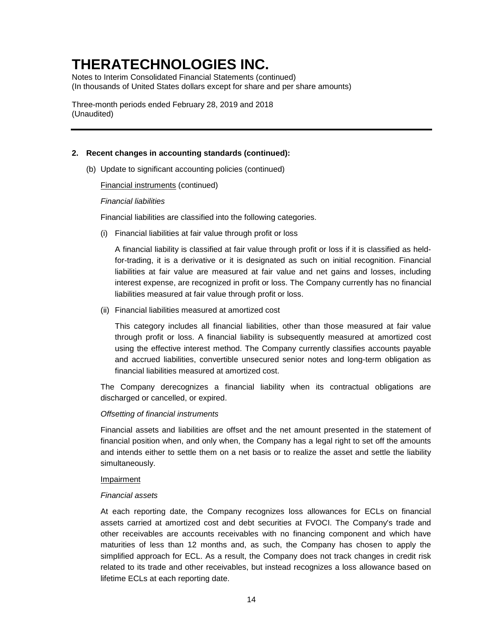Notes to Interim Consolidated Financial Statements (continued) (In thousands of United States dollars except for share and per share amounts)

Three-month periods ended February 28, 2019 and 2018 (Unaudited)

### **2. Recent changes in accounting standards (continued):**

(b) Update to significant accounting policies (continued)

Financial instruments (continued)

#### *Financial liabilities*

Financial liabilities are classified into the following categories.

(i) Financial liabilities at fair value through profit or loss

A financial liability is classified at fair value through profit or loss if it is classified as heldfor-trading, it is a derivative or it is designated as such on initial recognition. Financial liabilities at fair value are measured at fair value and net gains and losses, including interest expense, are recognized in profit or loss. The Company currently has no financial liabilities measured at fair value through profit or loss.

(ii) Financial liabilities measured at amortized cost

This category includes all financial liabilities, other than those measured at fair value through profit or loss. A financial liability is subsequently measured at amortized cost using the effective interest method. The Company currently classifies accounts payable and accrued liabilities, convertible unsecured senior notes and long-term obligation as financial liabilities measured at amortized cost.

The Company derecognizes a financial liability when its contractual obligations are discharged or cancelled, or expired.

### *Offsetting of financial instruments*

Financial assets and liabilities are offset and the net amount presented in the statement of financial position when, and only when, the Company has a legal right to set off the amounts and intends either to settle them on a net basis or to realize the asset and settle the liability simultaneously.

### **Impairment**

#### *Financial assets*

At each reporting date, the Company recognizes loss allowances for ECLs on financial assets carried at amortized cost and debt securities at FVOCI. The Company's trade and other receivables are accounts receivables with no financing component and which have maturities of less than 12 months and, as such, the Company has chosen to apply the simplified approach for ECL. As a result, the Company does not track changes in credit risk related to its trade and other receivables, but instead recognizes a loss allowance based on lifetime ECLs at each reporting date.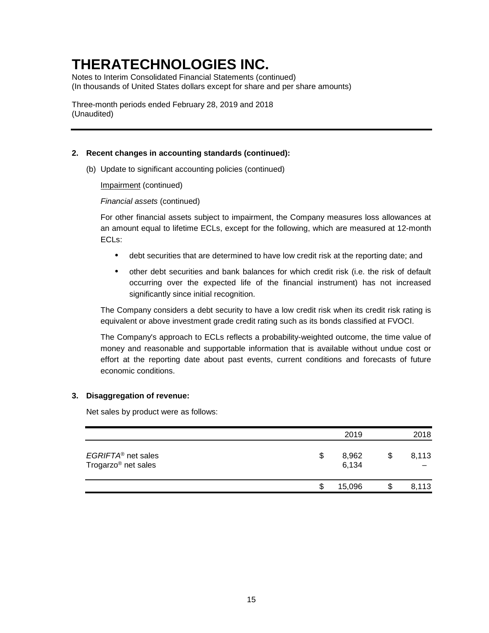Notes to Interim Consolidated Financial Statements (continued) (In thousands of United States dollars except for share and per share amounts)

Three-month periods ended February 28, 2019 and 2018 (Unaudited)

### **2. Recent changes in accounting standards (continued):**

(b) Update to significant accounting policies (continued)

Impairment (continued)

*Financial assets* (continued)

For other financial assets subject to impairment, the Company measures loss allowances at an amount equal to lifetime ECLs, except for the following, which are measured at 12-month ECLs:

- debt securities that are determined to have low credit risk at the reporting date; and
- other debt securities and bank balances for which credit risk (i.e. the risk of default occurring over the expected life of the financial instrument) has not increased significantly since initial recognition.

The Company considers a debt security to have a low credit risk when its credit risk rating is equivalent or above investment grade credit rating such as its bonds classified at FVOCI.

The Company's approach to ECLs reflects a probability-weighted outcome, the time value of money and reasonable and supportable information that is available without undue cost or effort at the reporting date about past events, current conditions and forecasts of future economic conditions.

### **3. Disaggregation of revenue:**

Net sales by product were as follows:

|                                                                   |    | 2019           |   | 2018  |
|-------------------------------------------------------------------|----|----------------|---|-------|
| EGRIFTA <sup>®</sup> net sales<br>Trogarzo <sup>®</sup> net sales | \$ | 8,962<br>6,134 | S | 8,113 |
|                                                                   | S  | 15,096         | S | 8,113 |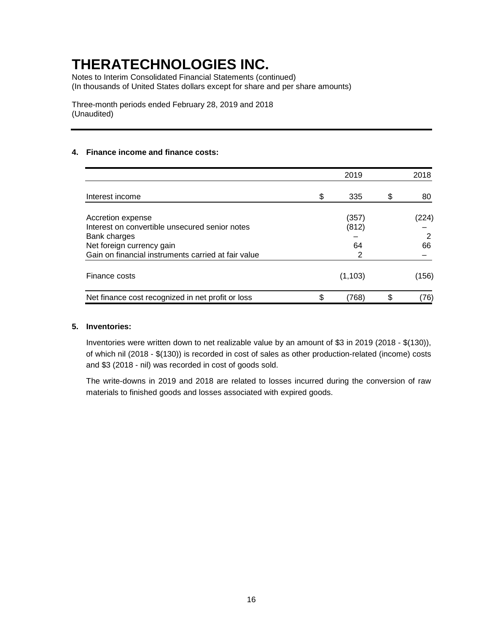Notes to Interim Consolidated Financial Statements (continued) (In thousands of United States dollars except for share and per share amounts)

Three-month periods ended February 28, 2019 and 2018 (Unaudited)

### **4. Finance income and finance costs:**

|                                                     | 2019        |   | 2018  |
|-----------------------------------------------------|-------------|---|-------|
| Interest income                                     | \$<br>335   | S | 80    |
| Accretion expense                                   | (357)       |   | (224) |
| Interest on convertible unsecured senior notes      | (812)       |   |       |
| Bank charges                                        |             |   | 2     |
| Net foreign currency gain                           | 64          |   | 66    |
| Gain on financial instruments carried at fair value |             |   |       |
| Finance costs                                       | (1, 103)    |   | (156) |
| Net finance cost recognized in net profit or loss   | \$<br>(768) |   | 76)   |

### **5. Inventories:**

Inventories were written down to net realizable value by an amount of \$3 in 2019 (2018 - \$(130)), of which nil (2018 - \$(130)) is recorded in cost of sales as other production-related (income) costs and \$3 (2018 - nil) was recorded in cost of goods sold.

The write-downs in 2019 and 2018 are related to losses incurred during the conversion of raw materials to finished goods and losses associated with expired goods.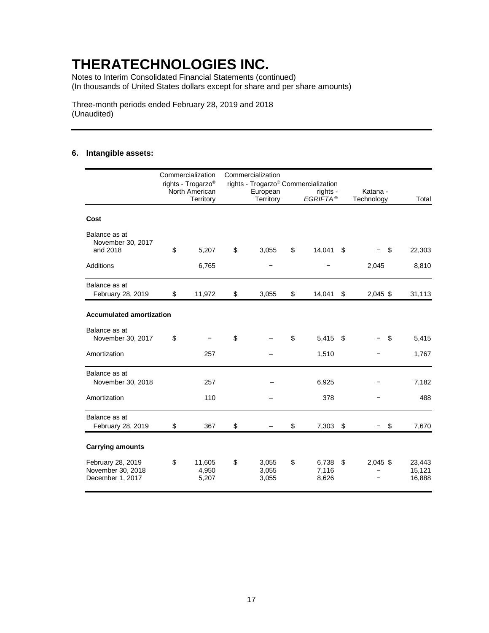Notes to Interim Consolidated Financial Statements (continued) (In thousands of United States dollars except for share and per share amounts)

Three-month periods ended February 28, 2019 and 2018 (Unaudited)

### **6. Intangible assets:**

|                                                            | Commercialization<br>rights - Trogarzo <sup>®</sup><br>North American<br>Territory | Commercialization<br>European<br>Territory | rights - Trogarzo <sup>®</sup> Commercialization<br>rights -<br>EGRIFTA <sup>®</sup> | Katana -<br>Technology | Total                      |
|------------------------------------------------------------|------------------------------------------------------------------------------------|--------------------------------------------|--------------------------------------------------------------------------------------|------------------------|----------------------------|
| Cost                                                       |                                                                                    |                                            |                                                                                      |                        |                            |
| Balance as at<br>November 30, 2017<br>and 2018             | \$<br>5,207                                                                        | \$<br>3,055                                | \$<br>14,041                                                                         | \$<br>\$               | 22,303                     |
| Additions                                                  | 6,765                                                                              |                                            |                                                                                      | 2,045                  | 8,810                      |
| Balance as at<br>February 28, 2019                         | \$<br>11,972                                                                       | \$<br>3,055                                | \$<br>14,041                                                                         | \$<br>$2,045$ \$       | 31,113                     |
| <b>Accumulated amortization</b>                            |                                                                                    |                                            |                                                                                      |                        |                            |
| Balance as at<br>November 30, 2017                         | \$                                                                                 | \$                                         | \$<br>5,415                                                                          | \$<br>\$               | 5,415                      |
| Amortization                                               | 257                                                                                |                                            | 1,510                                                                                |                        | 1,767                      |
| Balance as at<br>November 30, 2018                         | 257                                                                                |                                            | 6,925                                                                                |                        | 7,182                      |
| Amortization                                               | 110                                                                                |                                            | 378                                                                                  |                        | 488                        |
| Balance as at<br>February 28, 2019                         | \$<br>367                                                                          | \$                                         | \$<br>7,303                                                                          | \$<br>\$               | 7,670                      |
| <b>Carrying amounts</b>                                    |                                                                                    |                                            |                                                                                      |                        |                            |
| February 28, 2019<br>November 30, 2018<br>December 1, 2017 | \$<br>11,605<br>4,950<br>5,207                                                     | \$<br>3,055<br>3,055<br>3,055              | \$<br>6,738<br>7,116<br>8,626                                                        | \$<br>$2,045$ \$       | 23,443<br>15,121<br>16,888 |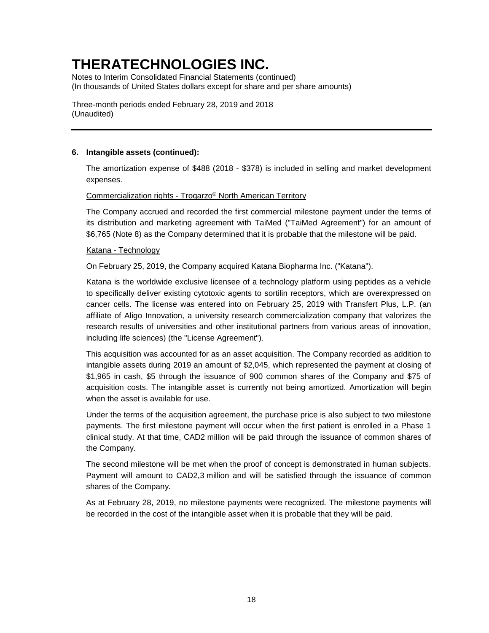Notes to Interim Consolidated Financial Statements (continued) (In thousands of United States dollars except for share and per share amounts)

Three-month periods ended February 28, 2019 and 2018 (Unaudited)

### **6. Intangible assets (continued):**

The amortization expense of \$488 (2018 - \$378) is included in selling and market development expenses.

### Commercialization rights - Trogarzo® North American Territory

The Company accrued and recorded the first commercial milestone payment under the terms of its distribution and marketing agreement with TaiMed ("TaiMed Agreement") for an amount of \$6,765 (Note 8) as the Company determined that it is probable that the milestone will be paid.

### Katana - Technology

On February 25, 2019, the Company acquired Katana Biopharma Inc. ("Katana").

Katana is the worldwide exclusive licensee of a technology platform using peptides as a vehicle to specifically deliver existing cytotoxic agents to sortilin receptors, which are overexpressed on cancer cells. The license was entered into on February 25, 2019 with Transfert Plus, L.P. (an affiliate of Aligo Innovation, a university research commercialization company that valorizes the research results of universities and other institutional partners from various areas of innovation, including life sciences) (the "License Agreement").

This acquisition was accounted for as an asset acquisition. The Company recorded as addition to intangible assets during 2019 an amount of \$2,045, which represented the payment at closing of \$1,965 in cash, \$5 through the issuance of 900 common shares of the Company and \$75 of acquisition costs. The intangible asset is currently not being amortized. Amortization will begin when the asset is available for use.

Under the terms of the acquisition agreement, the purchase price is also subject to two milestone payments. The first milestone payment will occur when the first patient is enrolled in a Phase 1 clinical study. At that time, CAD2 million will be paid through the issuance of common shares of the Company.

The second milestone will be met when the proof of concept is demonstrated in human subjects. Payment will amount to CAD2,3 million and will be satisfied through the issuance of common shares of the Company.

As at February 28, 2019, no milestone payments were recognized. The milestone payments will be recorded in the cost of the intangible asset when it is probable that they will be paid.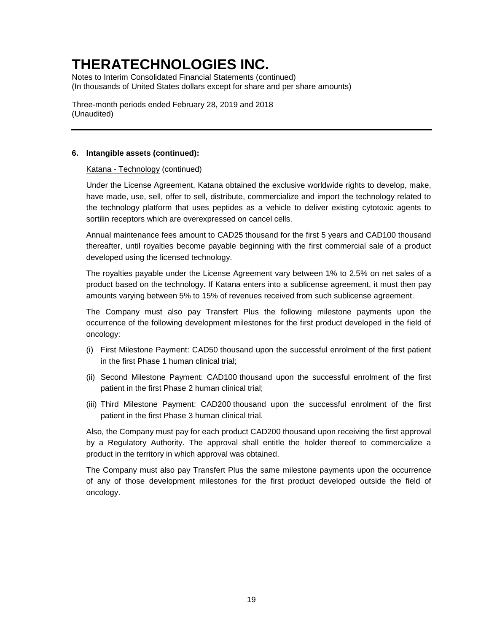Notes to Interim Consolidated Financial Statements (continued) (In thousands of United States dollars except for share and per share amounts)

Three-month periods ended February 28, 2019 and 2018 (Unaudited)

### **6. Intangible assets (continued):**

### Katana - Technology (continued)

Under the License Agreement, Katana obtained the exclusive worldwide rights to develop, make, have made, use, sell, offer to sell, distribute, commercialize and import the technology related to the technology platform that uses peptides as a vehicle to deliver existing cytotoxic agents to sortilin receptors which are overexpressed on cancel cells.

Annual maintenance fees amount to CAD25 thousand for the first 5 years and CAD100 thousand thereafter, until royalties become payable beginning with the first commercial sale of a product developed using the licensed technology.

The royalties payable under the License Agreement vary between 1% to 2.5% on net sales of a product based on the technology. If Katana enters into a sublicense agreement, it must then pay amounts varying between 5% to 15% of revenues received from such sublicense agreement.

The Company must also pay Transfert Plus the following milestone payments upon the occurrence of the following development milestones for the first product developed in the field of oncology:

- (i) First Milestone Payment: CAD50 thousand upon the successful enrolment of the first patient in the first Phase 1 human clinical trial;
- (ii) Second Milestone Payment: CAD100 thousand upon the successful enrolment of the first patient in the first Phase 2 human clinical trial;
- (iii) Third Milestone Payment: CAD200 thousand upon the successful enrolment of the first patient in the first Phase 3 human clinical trial.

Also, the Company must pay for each product CAD200 thousand upon receiving the first approval by a Regulatory Authority. The approval shall entitle the holder thereof to commercialize a product in the territory in which approval was obtained.

The Company must also pay Transfert Plus the same milestone payments upon the occurrence of any of those development milestones for the first product developed outside the field of oncology.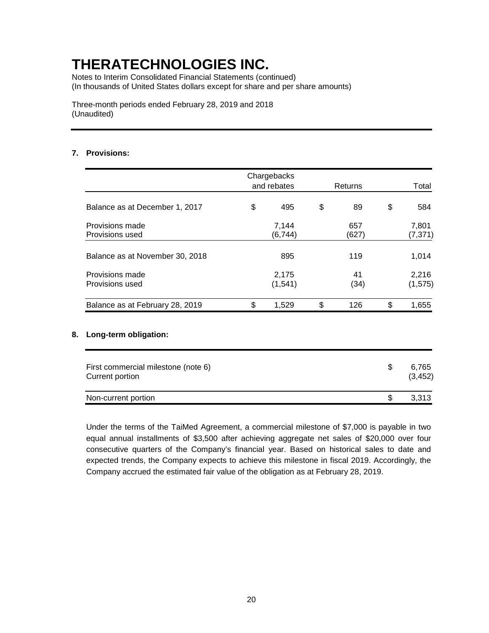Notes to Interim Consolidated Financial Statements (continued) (In thousands of United States dollars except for share and per share amounts)

Three-month periods ended February 28, 2019 and 2018 (Unaudited)

### **7. Provisions:**

|                                    | Chargebacks<br>and rebates | Returns      | Total             |  |  |
|------------------------------------|----------------------------|--------------|-------------------|--|--|
| Balance as at December 1, 2017     | \$<br>495                  | \$<br>89     | \$<br>584         |  |  |
| Provisions made<br>Provisions used | 7,144<br>(6, 744)          | 657<br>(627) | 7,801<br>(7, 371) |  |  |
| Balance as at November 30, 2018    | 895                        | 119          | 1,014             |  |  |
| Provisions made<br>Provisions used | 2,175<br>(1, 541)          | 41<br>(34)   | 2,216<br>(1, 575) |  |  |
| Balance as at February 28, 2019    | \$<br>1,529                | \$<br>126    | \$<br>1,655       |  |  |

### **8. Long-term obligation:**

| First commercial milestone (note 6)<br>Current portion | 6.765<br>(3, 452) |
|--------------------------------------------------------|-------------------|
| Non-current portion                                    | 3.313             |

Under the terms of the TaiMed Agreement, a commercial milestone of \$7,000 is payable in two equal annual installments of \$3,500 after achieving aggregate net sales of \$20,000 over four consecutive quarters of the Company's financial year. Based on historical sales to date and expected trends, the Company expects to achieve this milestone in fiscal 2019. Accordingly, the Company accrued the estimated fair value of the obligation as at February 28, 2019.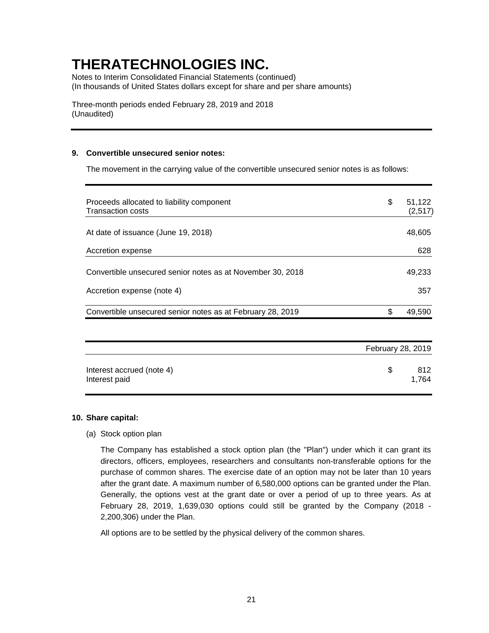Notes to Interim Consolidated Financial Statements (continued) (In thousands of United States dollars except for share and per share amounts)

Three-month periods ended February 28, 2019 and 2018 (Unaudited)

### **9. Convertible unsecured senior notes:**

The movement in the carrying value of the convertible unsecured senior notes is as follows:

| Proceeds allocated to liability component<br><b>Transaction costs</b> | \$                | 51,122<br>(2,517) |
|-----------------------------------------------------------------------|-------------------|-------------------|
| At date of issuance (June 19, 2018)                                   |                   | 48,605            |
| Accretion expense                                                     |                   | 628               |
| Convertible unsecured senior notes as at November 30, 2018            |                   | 49,233            |
| Accretion expense (note 4)                                            |                   | 357               |
| Convertible unsecured senior notes as at February 28, 2019            | \$                | 49,590            |
|                                                                       | February 28, 2019 |                   |
| Interest accrued (note 4)<br>Interest paid                            | \$                | 812<br>1,764      |

#### **10. Share capital:**

(a) Stock option plan

The Company has established a stock option plan (the "Plan") under which it can grant its directors, officers, employees, researchers and consultants non-transferable options for the purchase of common shares. The exercise date of an option may not be later than 10 years after the grant date. A maximum number of 6,580,000 options can be granted under the Plan. Generally, the options vest at the grant date or over a period of up to three years. As at February 28, 2019, 1,639,030 options could still be granted by the Company (2018 - 2,200,306) under the Plan.

All options are to be settled by the physical delivery of the common shares.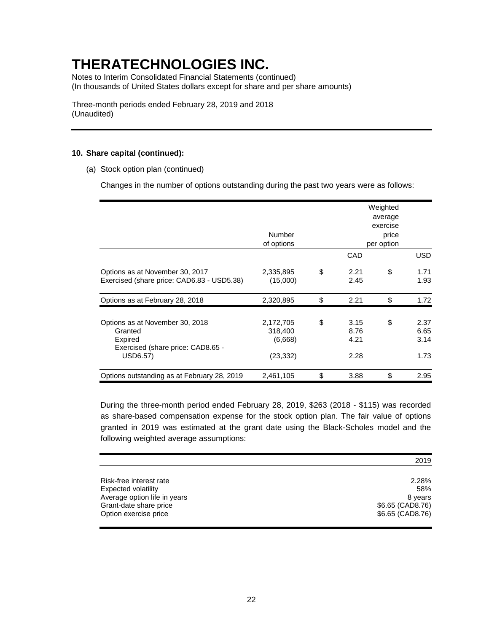Notes to Interim Consolidated Financial Statements (continued) (In thousands of United States dollars except for share and per share amounts)

Three-month periods ended February 28, 2019 and 2018 (Unaudited)

### **10. Share capital (continued):**

(a) Stock option plan (continued)

Changes in the number of options outstanding during the past two years were as follows:

|                                                                                                        |                                              |                                    | Weighted<br>average             |                              |
|--------------------------------------------------------------------------------------------------------|----------------------------------------------|------------------------------------|---------------------------------|------------------------------|
|                                                                                                        | Number<br>of options                         |                                    | exercise<br>price<br>per option |                              |
|                                                                                                        |                                              | CAD                                |                                 | <b>USD</b>                   |
| Options as at November 30, 2017<br>Exercised (share price: CAD6.83 - USD5.38)                          | 2,335,895<br>(15,000)                        | \$<br>2.21<br>2.45                 | \$                              | 1.71<br>1.93                 |
| Options as at February 28, 2018                                                                        | 2,320,895                                    | \$<br>2.21                         | \$                              | 1.72                         |
| Options as at November 30, 2018<br>Granted<br>Expired<br>Exercised (share price: CAD8.65 -<br>USD6.57) | 2,172,705<br>318,400<br>(6,668)<br>(23, 332) | \$<br>3.15<br>8.76<br>4.21<br>2.28 | \$                              | 2.37<br>6.65<br>3.14<br>1.73 |
| Options outstanding as at February 28, 2019                                                            | 2,461,105                                    | \$<br>3.88                         | \$                              | 2.95                         |

During the three-month period ended February 28, 2019, \$263 (2018 - \$115) was recorded as share-based compensation expense for the stock option plan. The fair value of options granted in 2019 was estimated at the grant date using the Black-Scholes model and the following weighted average assumptions:

| Risk-free interest rate<br>Expected volatility<br>Average option life in years<br>Grant-date share price<br>Option exercise price | 2.28%<br>58%<br>8 years<br>\$6.65 (CAD8.76)<br>\$6.65 (CAD8.76) |
|-----------------------------------------------------------------------------------------------------------------------------------|-----------------------------------------------------------------|
|                                                                                                                                   |                                                                 |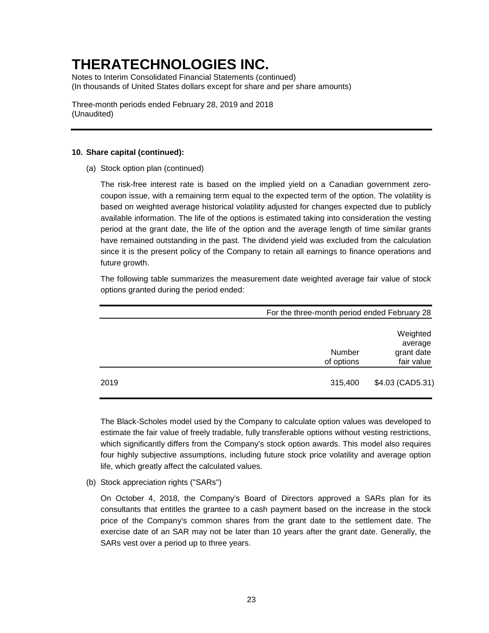Notes to Interim Consolidated Financial Statements (continued) (In thousands of United States dollars except for share and per share amounts)

Three-month periods ended February 28, 2019 and 2018 (Unaudited)

### **10. Share capital (continued):**

(a) Stock option plan (continued)

The risk-free interest rate is based on the implied yield on a Canadian government zerocoupon issue, with a remaining term equal to the expected term of the option. The volatility is based on weighted average historical volatility adjusted for changes expected due to publicly available information. The life of the options is estimated taking into consideration the vesting period at the grant date, the life of the option and the average length of time similar grants have remained outstanding in the past. The dividend yield was excluded from the calculation since it is the present policy of the Company to retain all earnings to finance operations and future growth.

The following table summarizes the measurement date weighted average fair value of stock options granted during the period ended:

|      |                      | For the three-month period ended February 28    |  |  |
|------|----------------------|-------------------------------------------------|--|--|
|      | Number<br>of options | Weighted<br>average<br>grant date<br>fair value |  |  |
| 2019 | 315,400              | \$4.03 (CAD5.31)                                |  |  |

The Black-Scholes model used by the Company to calculate option values was developed to estimate the fair value of freely tradable, fully transferable options without vesting restrictions, which significantly differs from the Company's stock option awards. This model also requires four highly subjective assumptions, including future stock price volatility and average option life, which greatly affect the calculated values.

(b) Stock appreciation rights ("SARs")

On October 4, 2018, the Company's Board of Directors approved a SARs plan for its consultants that entitles the grantee to a cash payment based on the increase in the stock price of the Company's common shares from the grant date to the settlement date. The exercise date of an SAR may not be later than 10 years after the grant date. Generally, the SARs vest over a period up to three years.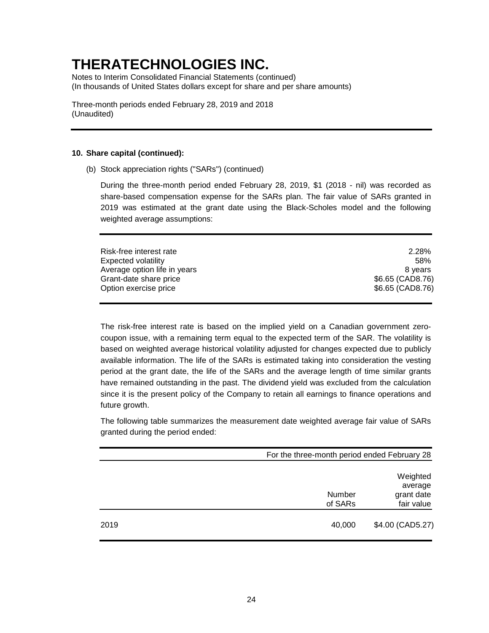Notes to Interim Consolidated Financial Statements (continued) (In thousands of United States dollars except for share and per share amounts)

Three-month periods ended February 28, 2019 and 2018 (Unaudited)

#### **10. Share capital (continued):**

(b) Stock appreciation rights ("SARs") (continued)

During the three-month period ended February 28, 2019, \$1 (2018 - nil) was recorded as share-based compensation expense for the SARs plan. The fair value of SARs granted in 2019 was estimated at the grant date using the Black-Scholes model and the following weighted average assumptions:

| Risk-free interest rate      | 2.28%            |
|------------------------------|------------------|
| <b>Expected volatility</b>   | 58%              |
| Average option life in years | 8 vears          |
| Grant-date share price       | \$6.65 (CAD8.76) |
| Option exercise price        | \$6.65 (CAD8.76) |
|                              |                  |

The risk-free interest rate is based on the implied yield on a Canadian government zerocoupon issue, with a remaining term equal to the expected term of the SAR. The volatility is based on weighted average historical volatility adjusted for changes expected due to publicly available information. The life of the SARs is estimated taking into consideration the vesting period at the grant date, the life of the SARs and the average length of time similar grants have remained outstanding in the past. The dividend yield was excluded from the calculation since it is the present policy of the Company to retain all earnings to finance operations and future growth.

The following table summarizes the measurement date weighted average fair value of SARs granted during the period ended:

|      | For the three-month period ended February 28 |                                                 |  |
|------|----------------------------------------------|-------------------------------------------------|--|
|      | Number<br>of SARs                            | Weighted<br>average<br>grant date<br>fair value |  |
| 2019 | 40,000                                       | \$4.00 (CAD5.27)                                |  |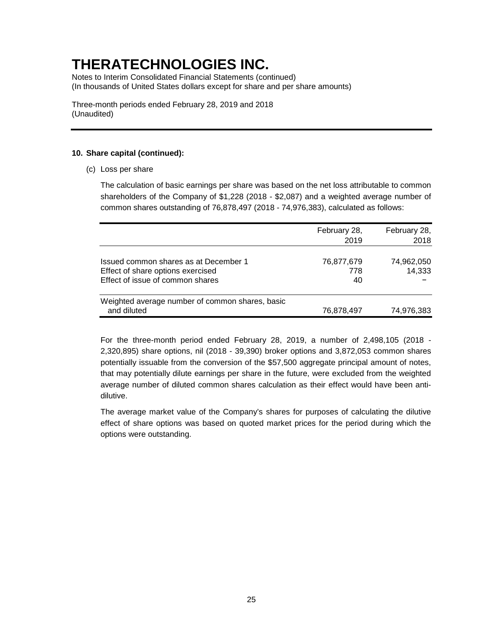Notes to Interim Consolidated Financial Statements (continued) (In thousands of United States dollars except for share and per share amounts)

Three-month periods ended February 28, 2019 and 2018 (Unaudited)

### **10. Share capital (continued):**

(c) Loss per share

The calculation of basic earnings per share was based on the net loss attributable to common shareholders of the Company of \$1,228 (2018 - \$2,087) and a weighted average number of common shares outstanding of 76,878,497 (2018 - 74,976,383), calculated as follows:

|                                                                                                                | February 28,<br>2019    | February 28,<br>2018 |
|----------------------------------------------------------------------------------------------------------------|-------------------------|----------------------|
| Issued common shares as at December 1<br>Effect of share options exercised<br>Effect of issue of common shares | 76,877,679<br>778<br>40 | 74,962,050<br>14,333 |
| Weighted average number of common shares, basic<br>and diluted                                                 | 76,878,497              | 74,976,383           |

For the three-month period ended February 28, 2019, a number of 2,498,105 (2018 - 2,320,895) share options, nil (2018 - 39,390) broker options and 3,872,053 common shares potentially issuable from the conversion of the \$57,500 aggregate principal amount of notes, that may potentially dilute earnings per share in the future, were excluded from the weighted average number of diluted common shares calculation as their effect would have been antidilutive.

The average market value of the Company's shares for purposes of calculating the dilutive effect of share options was based on quoted market prices for the period during which the options were outstanding.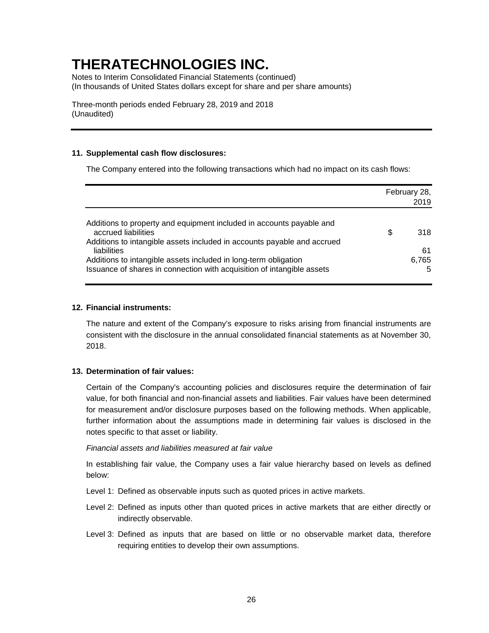Notes to Interim Consolidated Financial Statements (continued) (In thousands of United States dollars except for share and per share amounts)

Three-month periods ended February 28, 2019 and 2018 (Unaudited)

### **11. Supplemental cash flow disclosures:**

The Company entered into the following transactions which had no impact on its cash flows:

|                                                                                                                                                                        | February 28,<br>2019 |       |
|------------------------------------------------------------------------------------------------------------------------------------------------------------------------|----------------------|-------|
| Additions to property and equipment included in accounts payable and<br>accrued liabilities<br>Additions to intangible assets included in accounts payable and accrued | \$                   | 318   |
| liabilities                                                                                                                                                            |                      | 61    |
| Additions to intangible assets included in long-term obligation                                                                                                        |                      | 6,765 |
| Issuance of shares in connection with acquisition of intangible assets                                                                                                 |                      | 5     |

### **12. Financial instruments:**

The nature and extent of the Company's exposure to risks arising from financial instruments are consistent with the disclosure in the annual consolidated financial statements as at November 30, 2018.

#### **13. Determination of fair values:**

Certain of the Company's accounting policies and disclosures require the determination of fair value, for both financial and non-financial assets and liabilities. Fair values have been determined for measurement and/or disclosure purposes based on the following methods. When applicable, further information about the assumptions made in determining fair values is disclosed in the notes specific to that asset or liability.

#### *Financial assets and liabilities measured at fair value*

In establishing fair value, the Company uses a fair value hierarchy based on levels as defined below:

- Level 1: Defined as observable inputs such as quoted prices in active markets.
- Level 2: Defined as inputs other than quoted prices in active markets that are either directly or indirectly observable.
- Level 3: Defined as inputs that are based on little or no observable market data, therefore requiring entities to develop their own assumptions.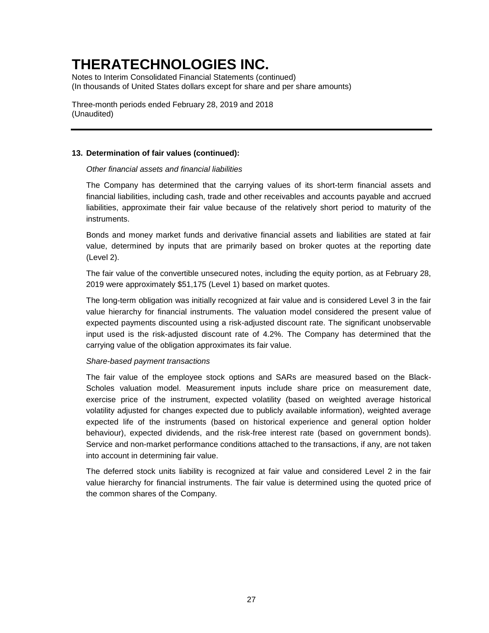Notes to Interim Consolidated Financial Statements (continued) (In thousands of United States dollars except for share and per share amounts)

Three-month periods ended February 28, 2019 and 2018 (Unaudited)

### **13. Determination of fair values (continued):**

### *Other financial assets and financial liabilities*

The Company has determined that the carrying values of its short-term financial assets and financial liabilities, including cash, trade and other receivables and accounts payable and accrued liabilities, approximate their fair value because of the relatively short period to maturity of the instruments.

Bonds and money market funds and derivative financial assets and liabilities are stated at fair value, determined by inputs that are primarily based on broker quotes at the reporting date (Level 2).

The fair value of the convertible unsecured notes, including the equity portion, as at February 28, 2019 were approximately \$51,175 (Level 1) based on market quotes.

The long-term obligation was initially recognized at fair value and is considered Level 3 in the fair value hierarchy for financial instruments. The valuation model considered the present value of expected payments discounted using a risk-adjusted discount rate. The significant unobservable input used is the risk-adjusted discount rate of 4.2%. The Company has determined that the carrying value of the obligation approximates its fair value.

#### *Share-based payment transactions*

The fair value of the employee stock options and SARs are measured based on the Black-Scholes valuation model. Measurement inputs include share price on measurement date, exercise price of the instrument, expected volatility (based on weighted average historical volatility adjusted for changes expected due to publicly available information), weighted average expected life of the instruments (based on historical experience and general option holder behaviour), expected dividends, and the risk-free interest rate (based on government bonds). Service and non-market performance conditions attached to the transactions, if any, are not taken into account in determining fair value.

The deferred stock units liability is recognized at fair value and considered Level 2 in the fair value hierarchy for financial instruments. The fair value is determined using the quoted price of the common shares of the Company.